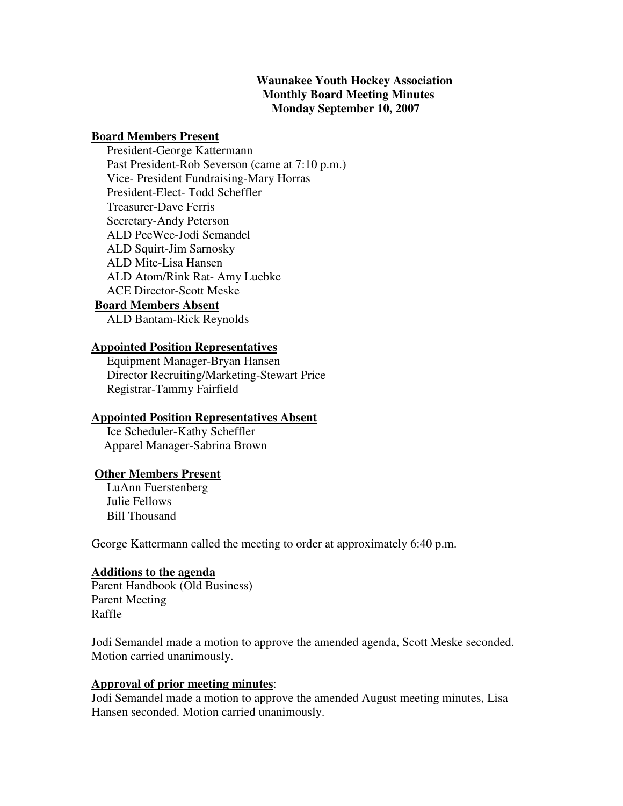# **Waunakee Youth Hockey Association Monthly Board Meeting Minutes Monday September 10, 2007**

#### **Board Members Present**

 President-George Kattermann Past President-Rob Severson (came at 7:10 p.m.) Vice- President Fundraising-Mary Horras President-Elect- Todd Scheffler Treasurer-Dave Ferris Secretary-Andy Peterson ALD PeeWee-Jodi Semandel ALD Squirt-Jim Sarnosky ALD Mite-Lisa Hansen ALD Atom/Rink Rat- Amy Luebke ACE Director-Scott Meske **Board Members Absent**

ALD Bantam-Rick Reynolds

### **Appointed Position Representatives**

 Equipment Manager-Bryan Hansen Director Recruiting/Marketing-Stewart Price Registrar-Tammy Fairfield

#### **Appointed Position Representatives Absent**

 Ice Scheduler-Kathy Scheffler Apparel Manager-Sabrina Brown

#### **Other Members Present**

 LuAnn Fuerstenberg Julie Fellows Bill Thousand

George Kattermann called the meeting to order at approximately 6:40 p.m.

#### **Additions to the agenda**

Parent Handbook (Old Business) Parent Meeting Raffle

Jodi Semandel made a motion to approve the amended agenda, Scott Meske seconded. Motion carried unanimously.

# **Approval of prior meeting minutes**:

Jodi Semandel made a motion to approve the amended August meeting minutes, Lisa Hansen seconded. Motion carried unanimously.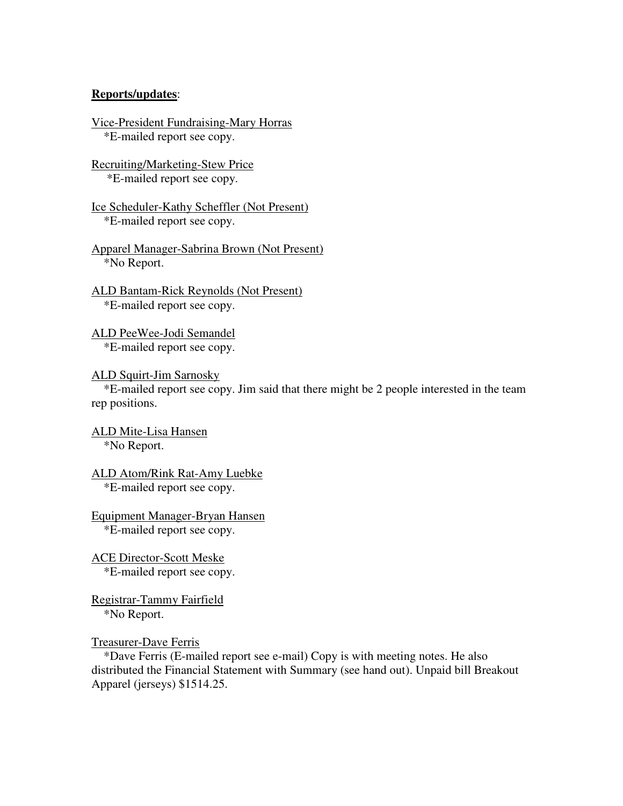### **Reports/updates**:

```
Vice-President Fundraising-Mary Horras 
*E-mailed report see copy.
```
Recruiting/Marketing-Stew Price \*E-mailed report see copy.

```
Ice Scheduler-Kathy Scheffler (Not Present) 
 *E-mailed report see copy.
```
- Apparel Manager-Sabrina Brown (Not Present) \*No Report.
- ALD Bantam-Rick Reynolds (Not Present) \*E-mailed report see copy.
- ALD PeeWee-Jodi Semandel \*E-mailed report see copy.
- ALD Squirt-Jim Sarnosky

 \*E-mailed report see copy. Jim said that there might be 2 people interested in the team rep positions.

- ALD Mite-Lisa Hansen \*No Report.
- ALD Atom/Rink Rat-Amy Luebke \*E-mailed report see copy.

Equipment Manager-Bryan Hansen \*E-mailed report see copy.

ACE Director-Scott Meske \*E-mailed report see copy.

Registrar-Tammy Fairfield \*No Report.

Treasurer-Dave Ferris

 \*Dave Ferris (E-mailed report see e-mail) Copy is with meeting notes. He also distributed the Financial Statement with Summary (see hand out). Unpaid bill Breakout Apparel (jerseys) \$1514.25.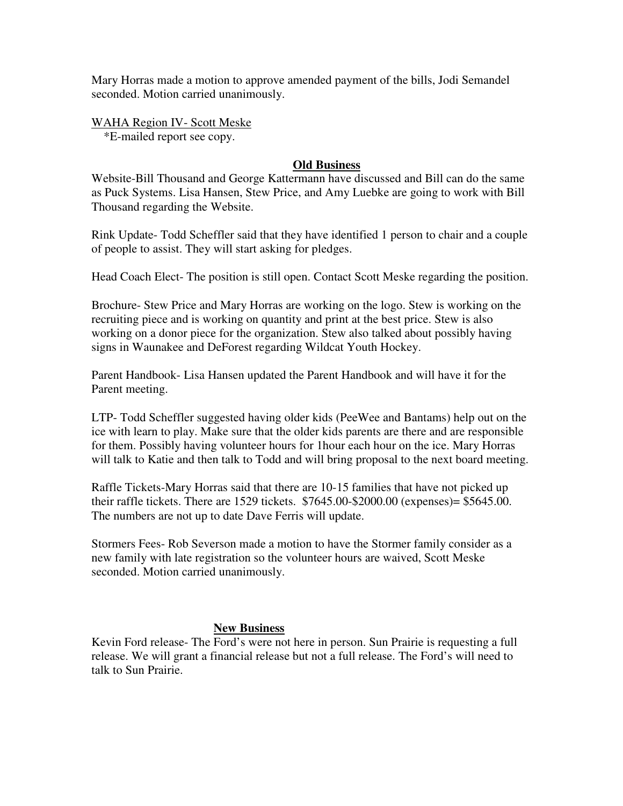Mary Horras made a motion to approve amended payment of the bills, Jodi Semandel seconded. Motion carried unanimously.

WAHA Region IV- Scott Meske \*E-mailed report see copy.

## **Old Business**

Website-Bill Thousand and George Kattermann have discussed and Bill can do the same as Puck Systems. Lisa Hansen, Stew Price, and Amy Luebke are going to work with Bill Thousand regarding the Website.

Rink Update- Todd Scheffler said that they have identified 1 person to chair and a couple of people to assist. They will start asking for pledges.

Head Coach Elect- The position is still open. Contact Scott Meske regarding the position.

Brochure- Stew Price and Mary Horras are working on the logo. Stew is working on the recruiting piece and is working on quantity and print at the best price. Stew is also working on a donor piece for the organization. Stew also talked about possibly having signs in Waunakee and DeForest regarding Wildcat Youth Hockey.

Parent Handbook- Lisa Hansen updated the Parent Handbook and will have it for the Parent meeting.

LTP- Todd Scheffler suggested having older kids (PeeWee and Bantams) help out on the ice with learn to play. Make sure that the older kids parents are there and are responsible for them. Possibly having volunteer hours for 1hour each hour on the ice. Mary Horras will talk to Katie and then talk to Todd and will bring proposal to the next board meeting.

Raffle Tickets-Mary Horras said that there are 10-15 families that have not picked up their raffle tickets. There are 1529 tickets. \$7645.00-\$2000.00 (expenses)= \$5645.00. The numbers are not up to date Dave Ferris will update.

Stormers Fees- Rob Severson made a motion to have the Stormer family consider as a new family with late registration so the volunteer hours are waived, Scott Meske seconded. Motion carried unanimously.

## **New Business**

Kevin Ford release- The Ford's were not here in person. Sun Prairie is requesting a full release. We will grant a financial release but not a full release. The Ford's will need to talk to Sun Prairie.